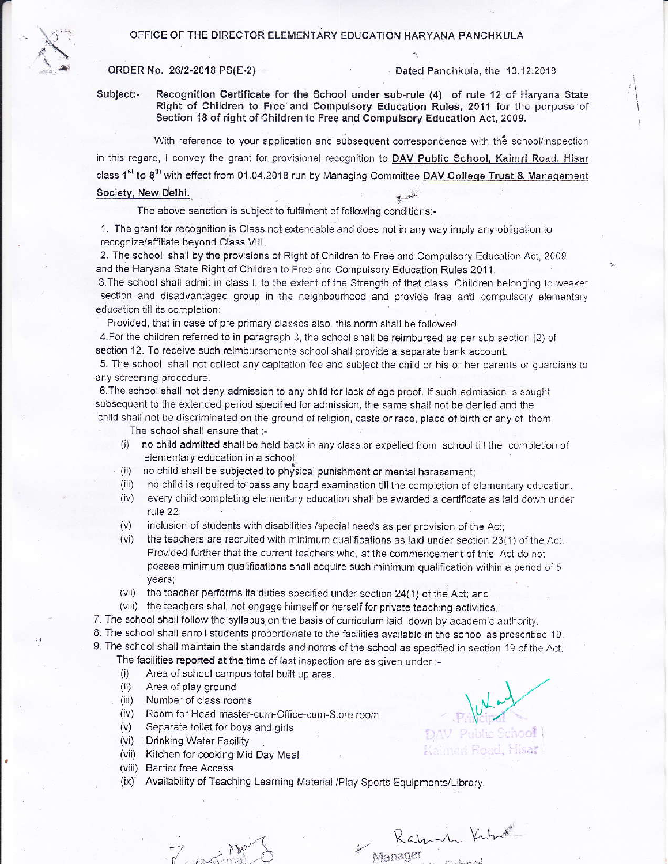## OFFICE OF THE DIRECTOR ELEMENTARY EDUCATION HARYANA PANCHKULA



## ORDER No. 26/2-2018 PS(E-2)

Dated Panchkula, the 13.12.2018

Subject:-Recognition Certificate for the School under sub-rule (4) of rule 12 of Haryana State Right of Children to Free and Compulsory Education Rules, 2011 for the purpose of Section 18 of right of Children to Free and Compulsory Education Act, 2009.

With reference to your application and subsequent correspondence with the school/inspection in this regard, I convey the grant for provisional recognition to DAV Public School, Kaimri Road, Hisar class 1<sup>st</sup> to 8<sup>th</sup> with effect from 01.04.2018 run by Managing Committee DAV College Trust & Management Society, New Delhi.

## The above sanction is subject to fulfilment of following conditions:-

1. The grant for recognition is Class not extendable and does not in any way imply any obligation to recognize/affiliate beyond Class VIII.

2. The school shall by the provisions of Right of Children to Free and Compulsory Education Act, 2009 and the Haryana State Right of Children to Free and Compulsory Education Rules 2011.

3. The school shall admit in class I, to the extent of the Strength of that class. Children belonging to weaker section and disadvantaged group in the neighbourhood and provide free and compulsory elementary education till its completion:

Provided, that in case of pre primary classes also, this norm shall be followed.

4. For the children referred to in paragraph 3, the school shall be reimbursed as per sub section (2) of section 12. To receive such reimbursements school shall provide a separate bank account.

5. The school shall not collect any capitation fee and subject the child or his or her parents or guardians to any screening procedure.

6. The school shall not deny admission to any child for lack of age proof. If such admission is sought subsequent to the extended period specified for admission, the same shall not be denied and the child shall not be discriminated on the ground of religion, caste or race, place of birth or any of them.

The school shall ensure that :-

- no child admitted shall be held back in any class or expelled from school till the completion of  $(i)$ elementary education in a school;
- no child shall be subjected to physical punishment or mental harassment;  $(ii)$
- no child is required to pass any board examination till the completion of elementary education.  $(iii)$
- every child completing elementary education shall be awarded a certificate as laid down under  $(iv)$ rule 22;
- $(V)$ inclusion of students with disabilities /special needs as per provision of the Act;
- the teachers are recruited with minimum qualifications as laid under section 23(1) of the Act.  $(vi)$ Provided further that the current teachers who, at the commencement of this Act do not posses minimum qualifications shall acquire such minimum qualification within a period of 5 years;
- (vii) the teacher performs its duties specified under section 24(1) of the Act; and
- (viii) the teachers shall not engage himself or herself for private teaching activities.

7. The school shall follow the syllabus on the basis of curriculum laid down by academic authority.

- 8. The school shall enroll students proportionate to the facilities available in the school as prescribed 19.
- 9. The school shall maintain the standards and norms of the school as specified in section 19 of the Act.
	- The facilities reported at the time of last inspection are as given under :-
		- Area of school campus total built up area.  $(i)$
	- $(ii)$ Area of play ground
	- $(iii)$ Number of class rooms
	- Room for Head master-cum-Office-cum-Store room  $(iv)$
	- $(v)$ Separate toilet for boys and girls
	- (vi) Drinking Water Facility
	- (vii) Kitchen for cooking Mid Day Meal

 $7.00000$ 

- (viii) Barrier free Access
- Availability of Teaching Learning Material /Play Sports Equipments/Library.  $(ix)$

Public School

imen Road, Hisar

Kamin King